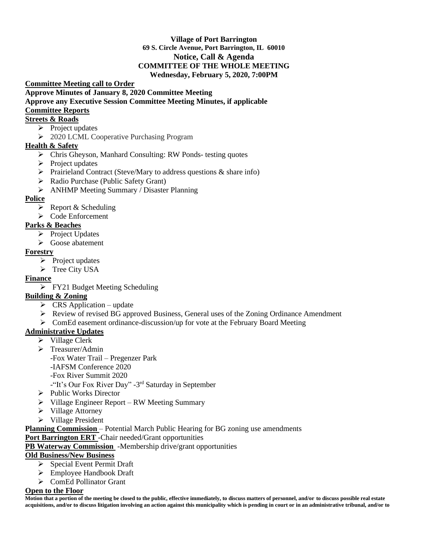#### **Village of Port Barrington 69 S. Circle Avenue, Port Barrington, IL 60010 Notice, Call & Agenda COMMITTEE OF THE WHOLE MEETING Wednesday, February 5, 2020, 7:00PM**

**Committee Meeting call to Order** 

**Approve Minutes of January 8, 2020 Committee Meeting** 

#### **Approve any Executive Session Committee Meeting Minutes, if applicable**

#### **Committee Reports**

## **Streets & Roads**

- $\triangleright$  Project updates
- ➢ 2020 LCML Cooperative Purchasing Program

#### **Health & Safety**

- ➢ Chris Gheyson, Manhard Consulting: RW Ponds- testing quotes
- ➢ Project updates
- $\triangleright$  Prairieland Contract (Steve/Mary to address questions & share info)
- ➢ Radio Purchase (Public Safety Grant)
- ➢ ANHMP Meeting Summary / Disaster Planning

## **Police**

- $\triangleright$  Report & Scheduling
- ➢ Code Enforcement

## **Parks & Beaches**

- ➢ Project Updates
- ➢ Goose abatement

## **Forestry**

- $\triangleright$  Project updates
- ➢ Tree City USA

## **Finance**

➢ FY21 Budget Meeting Scheduling

# **Building & Zoning**

- $\triangleright$  CRS Application update
- $\triangleright$  Review of revised BG approved Business, General uses of the Zoning Ordinance Amendment
- $\triangleright$  ComEd easement ordinance-discussion/up for vote at the February Board Meeting

## **Administrative Updates**

- ➢ Village Clerk
- ➢ Treasurer/Admin

-Fox Water Trail – Pregenzer Park

-IAFSM Conference 2020

-Fox River Summit 2020

-"It's Our Fox River Day" -3<sup>rd</sup> Saturday in September

- ➢ Public Works Director
- ➢ Village Engineer Report RW Meeting Summary
- ➢ Village Attorney
- ➢ Village President

**Planning Commission** – Potential March Public Hearing for BG zoning use amendments

**Port Barrington ERT** -Chair needed/Grant opportunities

**PB Waterway Commission** -Membership drive/grant opportunities

## **Old Business/New Business**

- ➢ Special Event Permit Draft
- ➢ Employee Handbook Draft
- ➢ ComEd Pollinator Grant

#### **Open to the Floor**

**Motion that a portion of the meeting be closed to the public, effective immediately, to discuss matters of personnel, and/or to discuss possible real estate acquisitions, and/or to discuss litigation involving an action against this municipality which is pending in court or in an administrative tribunal, and/or to**